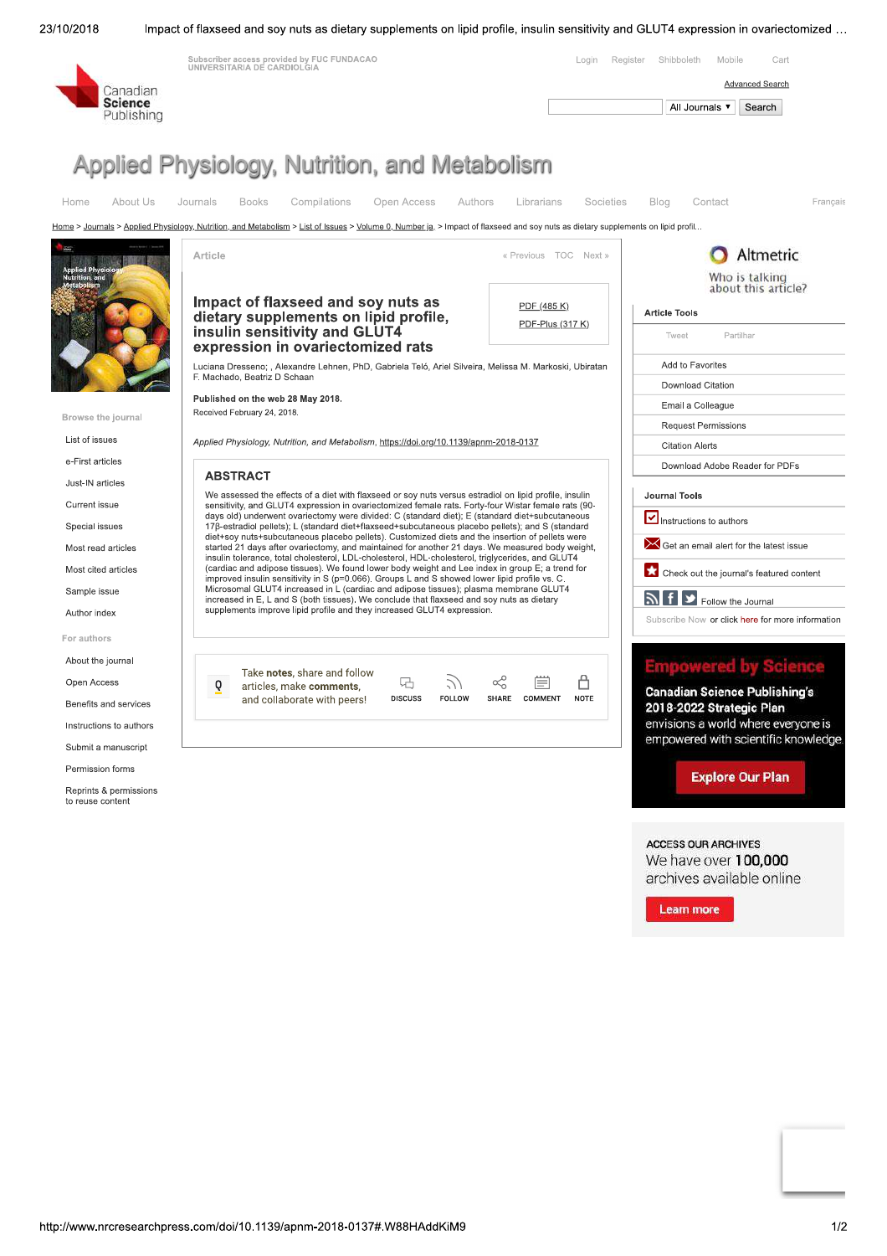

Impact of flaxseed and soy nuts as dietary supplements on lipid profile, insulin sensitivity and GLUT4 expression in ovariectomized ...



We have over 100.000 archives available online